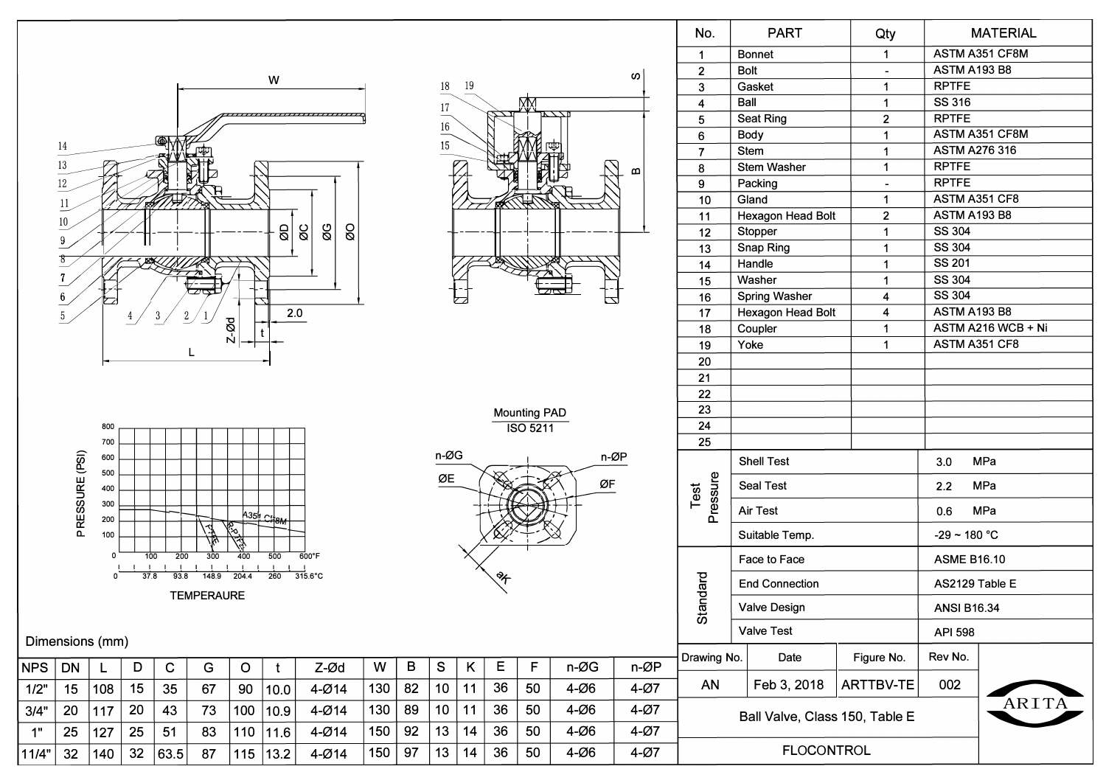

 $13.2$ 

115

 $4 - Ø14$ 

150

97

13

14

32

63.5

87

32

140

11/4"

| No.                                          | <b>PART</b>           |                      | Qty        |                          |                      | <b>MATERIAL</b>     |                |  |
|----------------------------------------------|-----------------------|----------------------|------------|--------------------------|----------------------|---------------------|----------------|--|
| 1                                            | <b>Bonnet</b>         |                      |            | 1                        |                      | ASTM A351 CF8M      |                |  |
| $\overline{2}$                               | <b>Bolt</b>           |                      |            |                          | ASTM A193 B8         |                     |                |  |
| 3                                            | Gasket                |                      |            | 1                        |                      | <b>RPTFE</b>        |                |  |
| 4                                            | Ball                  | 1                    |            |                          | SS 316               |                     |                |  |
| 5                                            |                       | <b>Seat Ring</b>     |            | $\overline{\mathbf{c}}$  | <b>RPTFE</b>         |                     |                |  |
| 6                                            |                       | <b>Body</b>          |            | 1                        |                      |                     | ASTM A351 CF8M |  |
| 7                                            |                       | <b>Stem</b>          |            | 1                        | <b>ASTM A276 316</b> |                     |                |  |
| 8                                            |                       | <b>Stem Washer</b>   |            | 1                        |                      | <b>RPTFE</b>        |                |  |
| 9                                            |                       | Packing              |            | $\overline{\phantom{a}}$ |                      | <b>RPTFE</b>        |                |  |
| 10                                           |                       | Gland                |            | 1                        |                      |                     | ASTM A351 CF8  |  |
| 11                                           |                       | Hexagon Head Bolt    |            | 2                        |                      |                     | ASTM A193 B8   |  |
| 12                                           |                       | Stopper              |            | 1                        |                      | SS 304              |                |  |
| 13                                           |                       | Snap Ring            |            | 1                        |                      | SS 304              |                |  |
| 14                                           | Handle<br>1           |                      |            |                          |                      | <b>SS 201</b>       |                |  |
| 15                                           | 1<br>Washer           |                      |            |                          |                      | SS 304              |                |  |
| 16                                           |                       | <b>Spring Washer</b> |            | 4                        |                      | SS 304              |                |  |
| 17                                           |                       | Hexagon Head Bolt    |            | 4                        |                      | <b>ASTM A193 B8</b> |                |  |
| 18                                           |                       | Coupler              |            | 1                        |                      | ASTM A216 WCB + Ni  |                |  |
| 19                                           | Yoke<br>1             |                      |            |                          | ASTM A351 CF8        |                     |                |  |
| 20                                           |                       |                      |            |                          |                      |                     |                |  |
| 21                                           |                       |                      |            |                          |                      |                     |                |  |
| 22                                           |                       |                      |            |                          |                      |                     |                |  |
| 23                                           |                       |                      |            |                          |                      |                     |                |  |
| 24                                           |                       |                      |            |                          |                      |                     |                |  |
| 25                                           |                       |                      |            |                          |                      |                     |                |  |
|                                              |                       | <b>Shell Test</b>    |            |                          | 3.0<br>MPa           |                     |                |  |
| Pressure<br>Test                             | Seal Test             |                      |            |                          | MPa<br>2.2           |                     |                |  |
|                                              | <b>Air Test</b>       |                      |            |                          | MPa<br>0.6           |                     |                |  |
|                                              | Suitable Temp.        |                      |            |                          | $-29 - 180 °C$       |                     |                |  |
|                                              | Face to Face          |                      |            |                          | <b>ASME B16.10</b>   |                     |                |  |
| Standard                                     | <b>End Connection</b> |                      |            |                          | AS2129 Table E       |                     |                |  |
|                                              | <b>Valve Design</b>   |                      |            |                          | ANSI B16.34          |                     |                |  |
|                                              | <b>Valve Test</b>     |                      |            |                          | <b>API 598</b>       |                     |                |  |
| Drawing No.<br>Date                          |                       |                      | Figure No. |                          | Rev No.              |                     |                |  |
|                                              |                       |                      |            |                          |                      |                     |                |  |
| AN<br>Feb 3, 2018<br>002<br><b>ARTTBV-TE</b> |                       |                      |            |                          |                      |                     | ARITA          |  |
| Ball Valve, Class 150, Table E               |                       |                      |            |                          |                      |                     |                |  |
| <b>FLOCONTROL</b>                            |                       |                      |            |                          |                      |                     |                |  |

ທ່

 $\Omega$ 

لحا

n-ØP

ØF

n-ØG

 $4-006$ 

 $4-006$ 

 $4-006$ 

 $4-006$ 

50

36

n-ØP

 $4-Ø7$ 

 $4-Ø7$ 

 $4 - Ø7$ 

 $4-Ø7$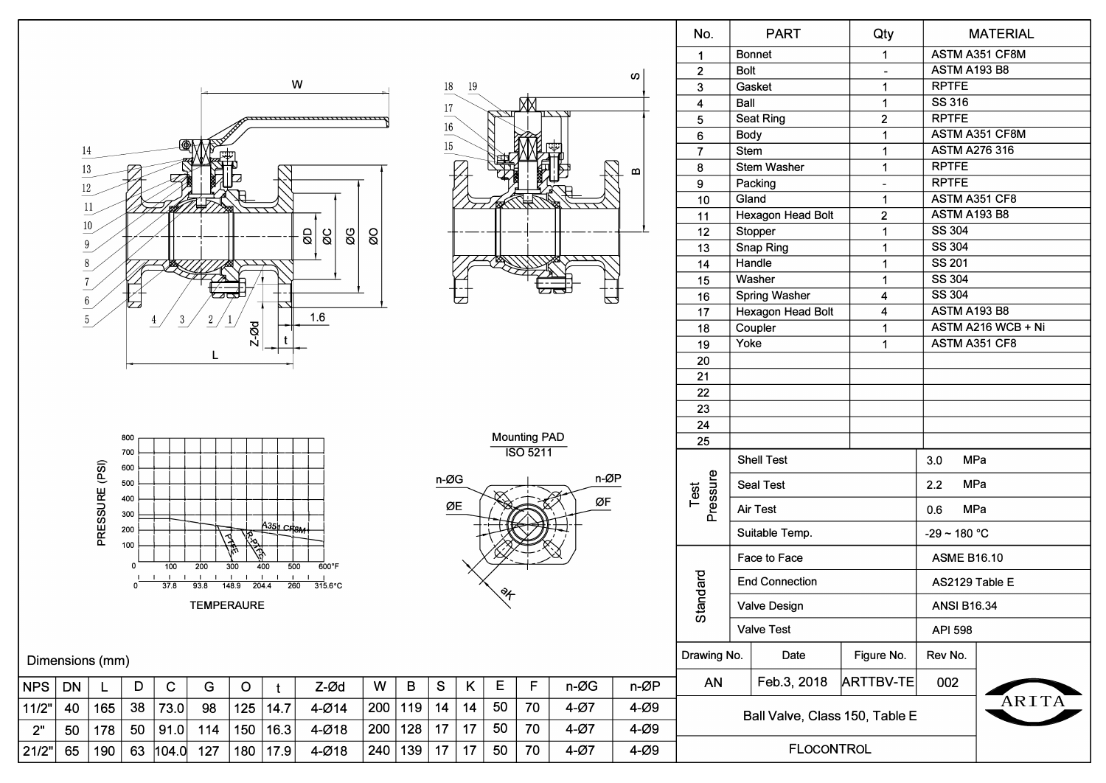

 $\circ$ 

125

150

180

 $\mathbf{t}$ 

 $|14.7$ 

 $|16.3|$ 

 $17.9$ 

G

98

114

127

Z-Ød

 $4 - Ø14$ 

 $4 - Ø18$ 

 $4 - Ø18$ 

W

200

200

240

 $\mathsf B$ 

128

139

|119 | 14

 $\mathbf{s}$ 

 $17$ 

 $17$ 

 $\mathsf{K}$ 

 $14$ 

 $17$ 

 $17$ 

 $\mathbf C$ 

73.0

91.0

 $|104.0|$ 

D

38

50

63

L

 $|178|$ 

| 190

40 | 165

**NPS** 

11/2"

 $2"$ 

21/2"

DN

50

65



**Mounting PAD** 

℀

 $\mathsf E$ 

50

50

50

 $\mathsf F$ 

70

70

70

 $n-\emptyset$ G

 $4-Ø7$ 

 $4-Ø7$ 

 $4-Ø7$ 

 $n-\varnothing P$ 

 $4-009$ 

 $4-009$ 

 $4-009$ 

**ISO 5211** 

n-ØP

ØF

| No.                                     | <b>PART</b>       |                       | Qty                     |                    | <b>MATERIAL</b>       |  |  |
|-----------------------------------------|-------------------|-----------------------|-------------------------|--------------------|-----------------------|--|--|
| 1                                       |                   | <b>Bonnet</b>         | 1                       |                    | <b>ASTM A351 CF8M</b> |  |  |
| $\overline{2}$                          | <b>Bolt</b>       |                       |                         | ASTM A193 B8       |                       |  |  |
| 3                                       | Gasket<br>1       |                       |                         | <b>RPTFE</b>       |                       |  |  |
| 4                                       | Ball              |                       | 1                       | SS 316             |                       |  |  |
| 5                                       |                   | Seat Ring             | $\overline{2}$          | <b>RPTFE</b>       |                       |  |  |
| 6                                       | <b>Body</b>       |                       | 1                       | ASTM A351 CF8M     |                       |  |  |
| 7                                       | <b>Stem</b>       |                       | 1                       |                    | <b>ASTM A276 316</b>  |  |  |
| 8                                       |                   | <b>Stem Washer</b>    | 1                       | <b>RPTFE</b>       |                       |  |  |
| 9                                       |                   | Packing               |                         | <b>RPTFE</b>       |                       |  |  |
| 10                                      | Gland             |                       | 1                       | ASTM A351 CF8      |                       |  |  |
| 11                                      |                   | Hexagon Head Bolt     | $\overline{\mathbf{c}}$ | ASTM A193 B8       |                       |  |  |
| 12                                      |                   | Stopper               | 1                       | SS 304             |                       |  |  |
| 13                                      |                   | Snap Ring             | 1                       | <b>SS 304</b>      |                       |  |  |
| 14                                      |                   | Handle                | 1                       | <b>SS 201</b>      |                       |  |  |
| 15                                      |                   | Washer                | 1                       | SS 304             |                       |  |  |
| 16                                      |                   | <b>Spring Washer</b>  | 4                       | SS 304             |                       |  |  |
| 17                                      |                   | Hexagon Head Bolt     | 4                       |                    | <b>ASTM A193 B8</b>   |  |  |
| 18                                      |                   | Coupler               | 1                       | ASTM A351 CF8      | ASTM A216 WCB + Ni    |  |  |
| 19                                      |                   | Yoke<br>1             |                         |                    |                       |  |  |
| 20                                      |                   |                       |                         |                    |                       |  |  |
| 21                                      |                   |                       |                         |                    |                       |  |  |
| 22<br>23                                |                   |                       |                         |                    |                       |  |  |
| 24                                      |                   |                       |                         |                    |                       |  |  |
| 25                                      |                   |                       |                         |                    |                       |  |  |
|                                         |                   |                       |                         |                    |                       |  |  |
|                                         |                   | <b>Shell Test</b>     |                         | MPa<br>3.0         |                       |  |  |
| Pressure<br>Test                        |                   | <b>Seal Test</b>      |                         | MPa<br>2.2         |                       |  |  |
|                                         |                   | Air Test              |                         | MPa<br>0.6         |                       |  |  |
|                                         |                   | Suitable Temp.        |                         | $-29 - 180 °C$     |                       |  |  |
|                                         |                   | Face to Face          |                         | <b>ASME B16.10</b> |                       |  |  |
|                                         |                   | <b>End Connection</b> |                         | AS2129 Table E     |                       |  |  |
| Standard                                |                   | <b>Valve Design</b>   |                         | <b>ANSI B16.34</b> |                       |  |  |
|                                         |                   | <b>Valve Test</b>     |                         | API 598            |                       |  |  |
| Drawing No.                             |                   | Date                  | Figure No.              | Rev No.            |                       |  |  |
| AN                                      |                   | Feb.3, 2018           | <b>ARTTBV-TE</b>        | 002                |                       |  |  |
| ARITA<br>Ball Valve, Class 150, Table E |                   |                       |                         |                    |                       |  |  |
|                                         | <b>FLOCONTROL</b> |                       |                         |                    |                       |  |  |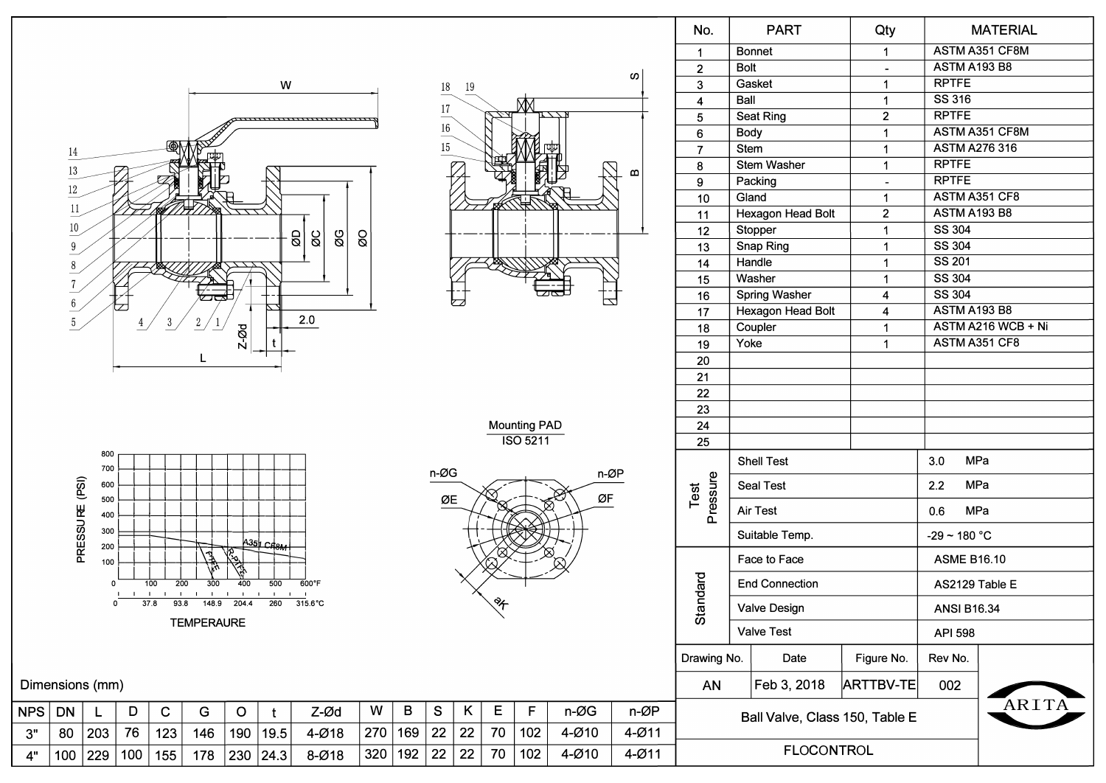

| No.                                     | <b>PART</b>   |                       | Qty       |                      | <b>MATERIAL</b>    |  |  |
|-----------------------------------------|---------------|-----------------------|-----------|----------------------|--------------------|--|--|
| 1                                       | <b>Bonnet</b> |                       | 1         |                      | ASTM A351 CF8M     |  |  |
| $\overline{2}$                          | <b>Bolt</b>   |                       |           | <b>ASTM A193 B8</b>  |                    |  |  |
| 3                                       |               | Gasket                | 1         | <b>RPTFE</b>         |                    |  |  |
| 4                                       | Ball          |                       | 1         | SS 316               |                    |  |  |
| 5                                       |               | Seat Ring             | 2         | <b>RPTFE</b>         |                    |  |  |
| 6                                       | <b>Body</b>   |                       | 1         |                      | ASTM A351 CF8M     |  |  |
| 7                                       | <b>Stem</b>   |                       | 1         | <b>ASTM A276 316</b> |                    |  |  |
| 8                                       |               | Stem Washer           | 1         | <b>RPTFE</b>         |                    |  |  |
| 9                                       |               | Packing               |           | <b>RPTFE</b>         |                    |  |  |
| 10                                      |               | Gland                 | 1         |                      | ASTM A351 CF8      |  |  |
| 11                                      |               | Hexagon Head Bolt     | 2         | <b>ASTM A193 B8</b>  |                    |  |  |
| 12                                      |               | Stopper               | 1         | SS 304               |                    |  |  |
| 13                                      |               | Snap Ring             | 1         | SS 304               |                    |  |  |
| 14                                      |               | Handle                | 1         | <b>SS 201</b>        |                    |  |  |
| 15                                      |               | Washer                | 1         | SS 304               |                    |  |  |
| 16                                      |               | Spring Washer         | 4         | SS 304               |                    |  |  |
| 17                                      |               | Hexagon Head Bolt     | 4         | <b>ASTM A193 B8</b>  |                    |  |  |
| 18                                      |               | Coupler               | 1         |                      | ASTM A216 WCB + Ni |  |  |
| 19                                      | Yoke          |                       | 1         |                      | ASTM A351 CF8      |  |  |
| 20                                      |               |                       |           |                      |                    |  |  |
| 21                                      |               |                       |           |                      |                    |  |  |
| 22                                      |               |                       |           |                      |                    |  |  |
| 23                                      |               |                       |           |                      |                    |  |  |
| 24                                      |               |                       |           |                      |                    |  |  |
| 25                                      |               |                       |           |                      |                    |  |  |
|                                         |               | <b>Shell Test</b>     |           | MPa<br>3.0           |                    |  |  |
|                                         |               | Seal Test             |           | 2.2<br>MPa           |                    |  |  |
| Test<br>Pressure                        |               | Air Test              |           | MPa<br>0.6           |                    |  |  |
|                                         |               | Suitable Temp.        |           | $-29 - 180 °C$       |                    |  |  |
|                                         |               | Face to Face          |           | <b>ASME B16.10</b>   |                    |  |  |
|                                         |               | <b>End Connection</b> |           | AS2129 Table E       |                    |  |  |
| Standard                                |               | <b>Valve Design</b>   |           | ANSI B16.34          |                    |  |  |
|                                         |               | <b>Valve Test</b>     |           | API 598              |                    |  |  |
| Drawing No.<br>Figure No.<br>Date       |               |                       |           | Rev No.              |                    |  |  |
| AN                                      |               | Feb 3, 2018           | ARTTBV-TE | 002                  |                    |  |  |
| ARITA<br>Ball Valve, Class 150, Table E |               |                       |           |                      |                    |  |  |
|                                         |               |                       |           |                      |                    |  |  |
| <b>FLOCONTROL</b>                       |               |                       |           |                      |                    |  |  |

ဖာ

 $\boldsymbol{\underline{\omega}}$ 

بكم

 $n-\varnothing P$ 

 $4 - Ø11$ 

 $4 - Ø11$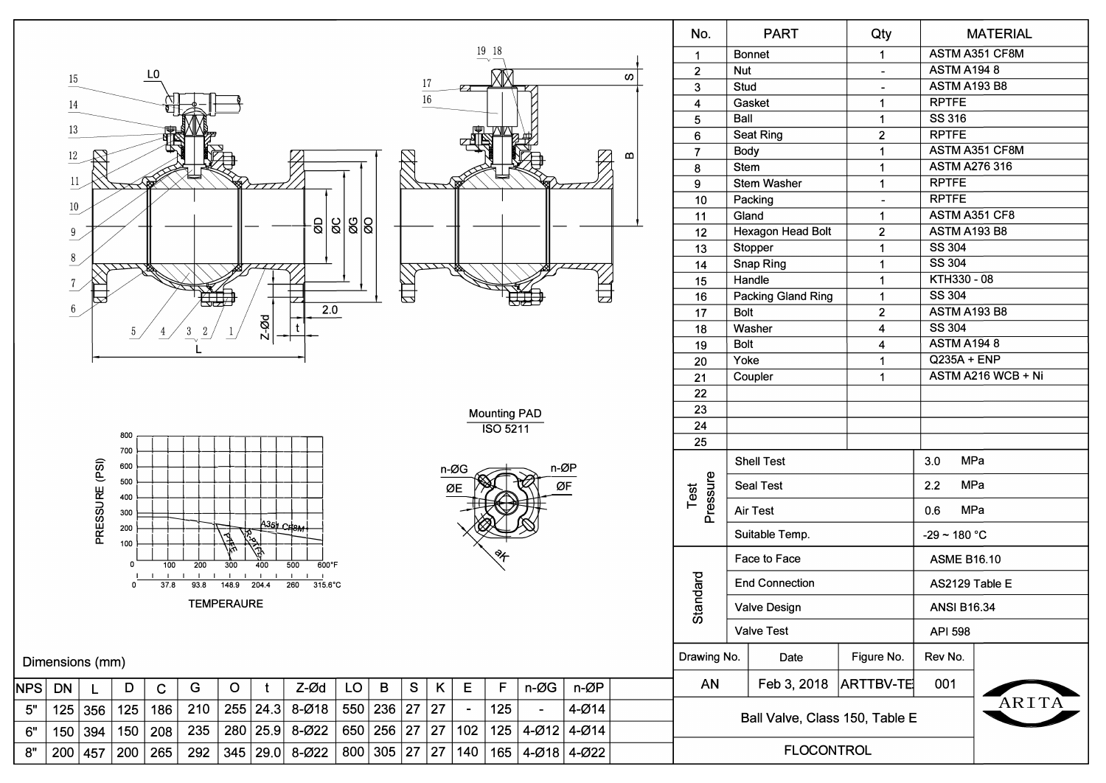